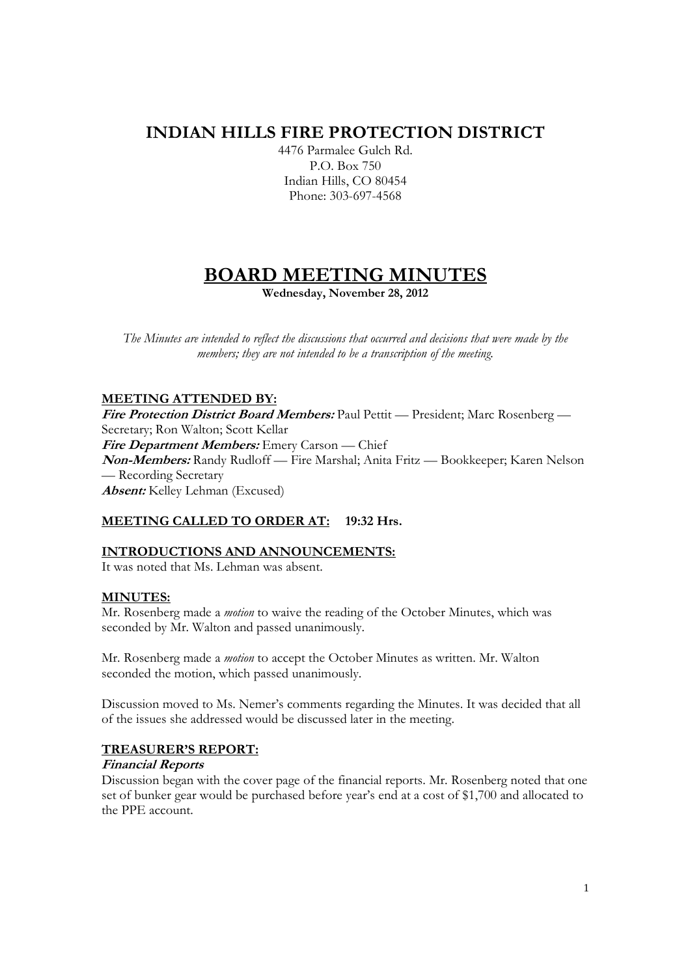## **INDIAN HILLS FIRE PROTECTION DISTRICT**

4476 Parmalee Gulch Rd. P.O. Box 750 Indian Hills, CO 80454 Phone: 303-697-4568

# **BOARD MEETING MINUTES**

**Wednesday, November 28, 2012** 

*The Minutes are intended to reflect the discussions that occurred and decisions that were made by the members; they are not intended to be a transcription of the meeting.* 

## **MEETING ATTENDED BY:**

**Fire Protection District Board Members:** Paul Pettit — President; Marc Rosenberg — Secretary; Ron Walton; Scott Kellar **Fire Department Members:** Emery Carson — Chief **Non-Members:** Randy Rudloff — Fire Marshal; Anita Fritz — Bookkeeper; Karen Nelson — Recording Secretary **Absent:** Kelley Lehman (Excused)

## **MEETING CALLED TO ORDER AT: 19:32 Hrs.**

## **INTRODUCTIONS AND ANNOUNCEMENTS:**

It was noted that Ms. Lehman was absent.

## **MINUTES:**

Mr. Rosenberg made a *motion* to waive the reading of the October Minutes, which was seconded by Mr. Walton and passed unanimously.

Mr. Rosenberg made a *motion* to accept the October Minutes as written. Mr. Walton seconded the motion, which passed unanimously.

Discussion moved to Ms. Nemer's comments regarding the Minutes. It was decided that all of the issues she addressed would be discussed later in the meeting.

## **TREASURER'S REPORT:**

## **Financial Reports**

Discussion began with the cover page of the financial reports. Mr. Rosenberg noted that one set of bunker gear would be purchased before year's end at a cost of \$1,700 and allocated to the PPE account.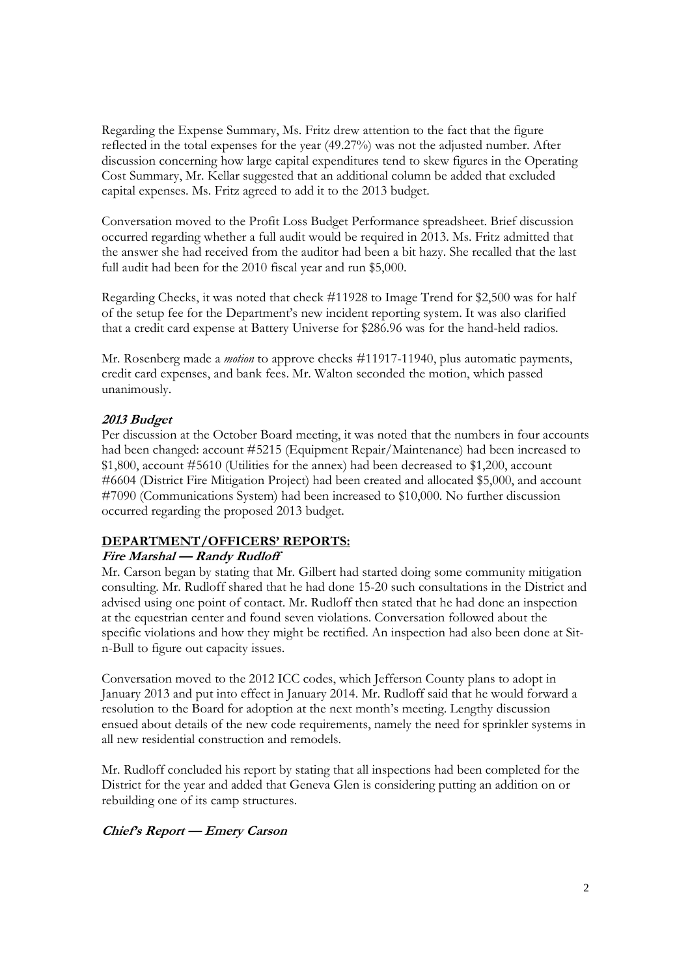Regarding the Expense Summary, Ms. Fritz drew attention to the fact that the figure reflected in the total expenses for the year (49.27%) was not the adjusted number. After discussion concerning how large capital expenditures tend to skew figures in the Operating Cost Summary, Mr. Kellar suggested that an additional column be added that excluded capital expenses. Ms. Fritz agreed to add it to the 2013 budget.

Conversation moved to the Profit Loss Budget Performance spreadsheet. Brief discussion occurred regarding whether a full audit would be required in 2013. Ms. Fritz admitted that the answer she had received from the auditor had been a bit hazy. She recalled that the last full audit had been for the 2010 fiscal year and run \$5,000.

Regarding Checks, it was noted that check #11928 to Image Trend for \$2,500 was for half of the setup fee for the Department's new incident reporting system. It was also clarified that a credit card expense at Battery Universe for \$286.96 was for the hand-held radios.

Mr. Rosenberg made a *motion* to approve checks #11917-11940, plus automatic payments, credit card expenses, and bank fees. Mr. Walton seconded the motion, which passed unanimously.

## **2013 Budget**

Per discussion at the October Board meeting, it was noted that the numbers in four accounts had been changed: account #5215 (Equipment Repair/Maintenance) had been increased to \$1,800, account #5610 (Utilities for the annex) had been decreased to \$1,200, account #6604 (District Fire Mitigation Project) had been created and allocated \$5,000, and account #7090 (Communications System) had been increased to \$10,000. No further discussion occurred regarding the proposed 2013 budget.

## **DEPARTMENT/OFFICERS' REPORTS:**

#### **Fire Marshal — Randy Rudloff**

Mr. Carson began by stating that Mr. Gilbert had started doing some community mitigation consulting. Mr. Rudloff shared that he had done 15-20 such consultations in the District and advised using one point of contact. Mr. Rudloff then stated that he had done an inspection at the equestrian center and found seven violations. Conversation followed about the specific violations and how they might be rectified. An inspection had also been done at Sitn-Bull to figure out capacity issues.

Conversation moved to the 2012 ICC codes, which Jefferson County plans to adopt in January 2013 and put into effect in January 2014. Mr. Rudloff said that he would forward a resolution to the Board for adoption at the next month's meeting. Lengthy discussion ensued about details of the new code requirements, namely the need for sprinkler systems in all new residential construction and remodels.

Mr. Rudloff concluded his report by stating that all inspections had been completed for the District for the year and added that Geneva Glen is considering putting an addition on or rebuilding one of its camp structures.

#### **Chief's Report — Emery Carson**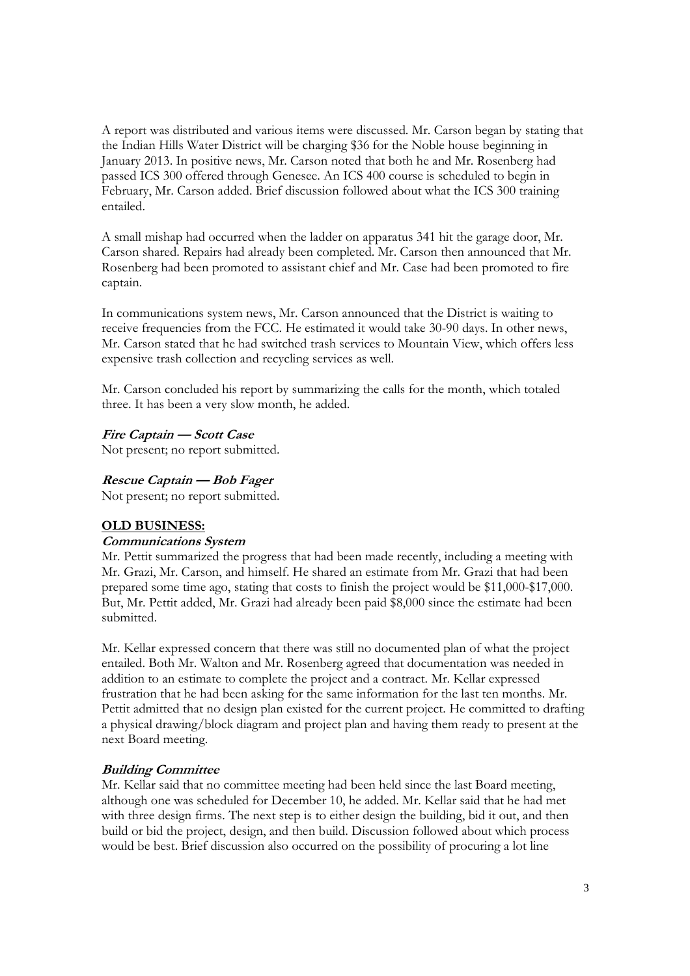A report was distributed and various items were discussed. Mr. Carson began by stating that the Indian Hills Water District will be charging \$36 for the Noble house beginning in January 2013. In positive news, Mr. Carson noted that both he and Mr. Rosenberg had passed ICS 300 offered through Genesee. An ICS 400 course is scheduled to begin in February, Mr. Carson added. Brief discussion followed about what the ICS 300 training entailed.

A small mishap had occurred when the ladder on apparatus 341 hit the garage door, Mr. Carson shared. Repairs had already been completed. Mr. Carson then announced that Mr. Rosenberg had been promoted to assistant chief and Mr. Case had been promoted to fire captain.

In communications system news, Mr. Carson announced that the District is waiting to receive frequencies from the FCC. He estimated it would take 30-90 days. In other news, Mr. Carson stated that he had switched trash services to Mountain View, which offers less expensive trash collection and recycling services as well.

Mr. Carson concluded his report by summarizing the calls for the month, which totaled three. It has been a very slow month, he added.

#### **Fire Captain — Scott Case**

Not present; no report submitted.

#### **Rescue Captain — Bob Fager**

Not present; no report submitted.

#### **OLD BUSINESS:**

#### **Communications System**

Mr. Pettit summarized the progress that had been made recently, including a meeting with Mr. Grazi, Mr. Carson, and himself. He shared an estimate from Mr. Grazi that had been prepared some time ago, stating that costs to finish the project would be \$11,000-\$17,000. But, Mr. Pettit added, Mr. Grazi had already been paid \$8,000 since the estimate had been submitted.

Mr. Kellar expressed concern that there was still no documented plan of what the project entailed. Both Mr. Walton and Mr. Rosenberg agreed that documentation was needed in addition to an estimate to complete the project and a contract. Mr. Kellar expressed frustration that he had been asking for the same information for the last ten months. Mr. Pettit admitted that no design plan existed for the current project. He committed to drafting a physical drawing/block diagram and project plan and having them ready to present at the next Board meeting.

## **Building Committee**

Mr. Kellar said that no committee meeting had been held since the last Board meeting, although one was scheduled for December 10, he added. Mr. Kellar said that he had met with three design firms. The next step is to either design the building, bid it out, and then build or bid the project, design, and then build. Discussion followed about which process would be best. Brief discussion also occurred on the possibility of procuring a lot line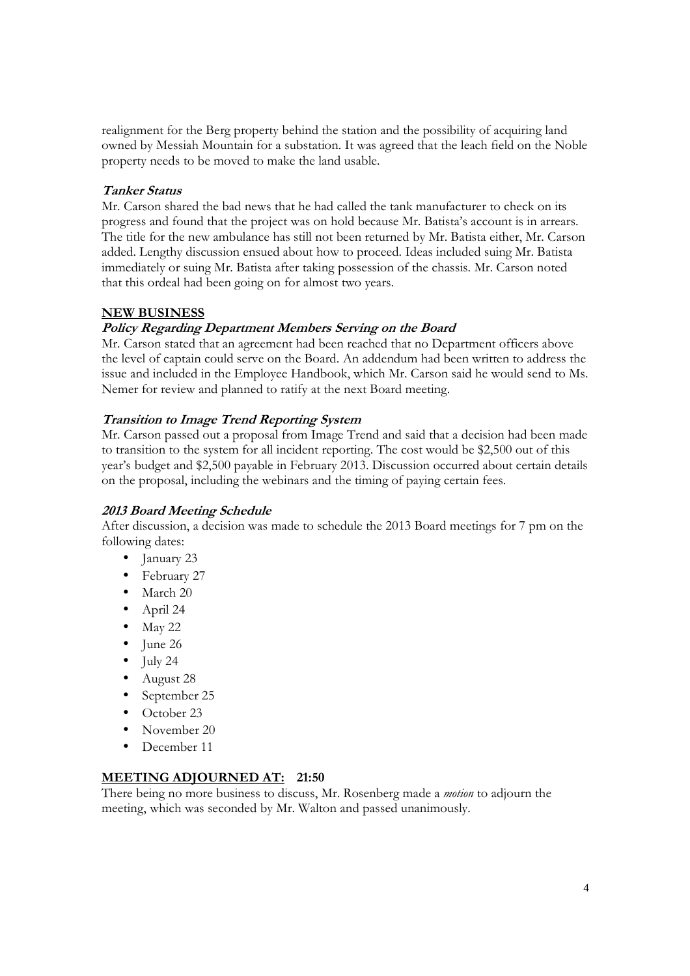realignment for the Berg property behind the station and the possibility of acquiring land owned by Messiah Mountain for a substation. It was agreed that the leach field on the Noble property needs to be moved to make the land usable.

## **Tanker Status**

Mr. Carson shared the bad news that he had called the tank manufacturer to check on its progress and found that the project was on hold because Mr. Batista's account is in arrears. The title for the new ambulance has still not been returned by Mr. Batista either, Mr. Carson added. Lengthy discussion ensued about how to proceed. Ideas included suing Mr. Batista immediately or suing Mr. Batista after taking possession of the chassis. Mr. Carson noted that this ordeal had been going on for almost two years.

#### **NEW BUSINESS**

#### **Policy Regarding Department Members Serving on the Board**

Mr. Carson stated that an agreement had been reached that no Department officers above the level of captain could serve on the Board. An addendum had been written to address the issue and included in the Employee Handbook, which Mr. Carson said he would send to Ms. Nemer for review and planned to ratify at the next Board meeting.

#### **Transition to Image Trend Reporting System**

Mr. Carson passed out a proposal from Image Trend and said that a decision had been made to transition to the system for all incident reporting. The cost would be \$2,500 out of this year's budget and \$2,500 payable in February 2013. Discussion occurred about certain details on the proposal, including the webinars and the timing of paying certain fees.

#### **2013 Board Meeting Schedule**

After discussion, a decision was made to schedule the 2013 Board meetings for 7 pm on the following dates:

- January 23
- February 27
- March 20
- April 24
- $\bullet$  May 22
- June 26
- $\bullet$  July 24
- August 28
- September 25
- October 23
- November 20
- December 11

#### **MEETING ADJOURNED AT: 21:50**

There being no more business to discuss, Mr. Rosenberg made a *motion* to adjourn the meeting, which was seconded by Mr. Walton and passed unanimously.